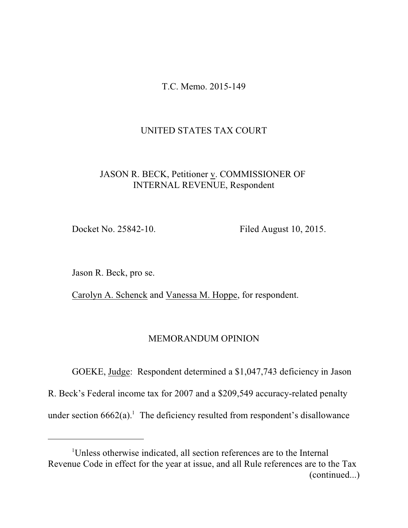T.C. Memo. 2015-149

## UNITED STATES TAX COURT

# JASON R. BECK, Petitioner v. COMMISSIONER OF INTERNAL REVENUE, Respondent

Docket No. 25842-10. Filed August 10, 2015.

Jason R. Beck, pro se.

Carolyn A. Schenck and Vanessa M. Hoppe, for respondent.

## MEMORANDUM OPINION

GOEKE, Judge: Respondent determined a \$1,047,743 deficiency in Jason

R. Beck's Federal income tax for 2007 and a \$209,549 accuracy-related penalty

under section  $6662(a)$ . The deficiency resulted from respondent's disallowance

<sup>&</sup>lt;sup>1</sup>Unless otherwise indicated, all section references are to the Internal Revenue Code in effect for the year at issue, and all Rule references are to the Tax (continued...)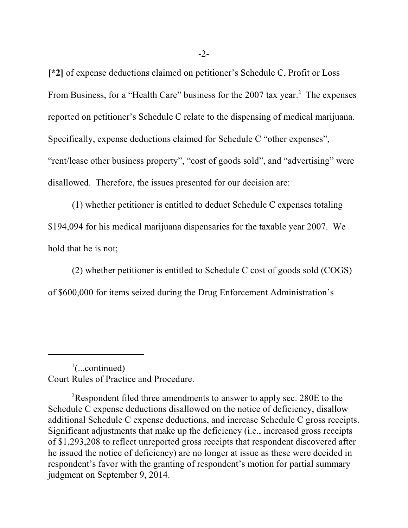**[\*2]** of expense deductions claimed on petitioner's Schedule C, Profit or Loss From Business, for a "Health Care" business for the 2007 tax year.<sup>2</sup> The expenses reported on petitioner's Schedule C relate to the dispensing of medical marijuana. Specifically, expense deductions claimed for Schedule C "other expenses", "rent/lease other business property", "cost of goods sold", and "advertising" were disallowed. Therefore, the issues presented for our decision are:

(1) whether petitioner is entitled to deduct Schedule C expenses totaling \$194,094 for his medical marijuana dispensaries for the taxable year 2007. We hold that he is not;

(2) whether petitioner is entitled to Schedule C cost of goods sold (COGS) of \$600,000 for items seized during the Drug Enforcement Administration's

 $\frac{1}{2}$ (...continued) Court Rules of Practice and Procedure.

<sup>2</sup>Respondent filed three amendments to answer to apply sec. 280E to the Schedule C expense deductions disallowed on the notice of deficiency, disallow additional Schedule C expense deductions, and increase Schedule C gross receipts. Significant adjustments that make up the deficiency (i.e., increased gross receipts of \$1,293,208 to reflect unreported gross receipts that respondent discovered after he issued the notice of deficiency) are no longer at issue as these were decided in respondent's favor with the granting of respondent's motion for partial summary judgment on September 9, 2014.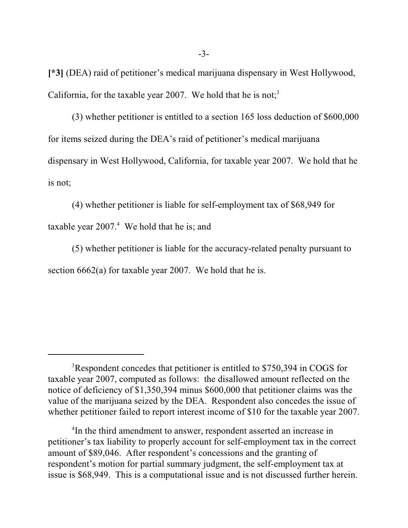**[\*3]** (DEA) raid of petitioner's medical marijuana dispensary in West Hollywood, California, for the taxable year 2007. We hold that he is not;<sup>3</sup>

(3) whether petitioner is entitled to a section 165 loss deduction of \$600,000 for items seized during the DEA's raid of petitioner's medical marijuana dispensary in West Hollywood, California, for taxable year 2007. We hold that he is not;

(4) whether petitioner is liable for self-employment tax of \$68,949 for taxable year  $2007<sup>4</sup>$  We hold that he is; and

(5) whether petitioner is liable for the accuracy-related penalty pursuant to section 6662(a) for taxable year 2007. We hold that he is.

<sup>&</sup>lt;sup>3</sup>Respondent concedes that petitioner is entitled to \$750,394 in COGS for taxable year 2007, computed as follows: the disallowed amount reflected on the notice of deficiency of \$1,350,394 minus \$600,000 that petitioner claims was the value of the marijuana seized by the DEA. Respondent also concedes the issue of whether petitioner failed to report interest income of \$10 for the taxable year 2007.

<sup>&</sup>lt;sup>4</sup>In the third amendment to answer, respondent asserted an increase in petitioner's tax liability to properly account for self-employment tax in the correct amount of \$89,046. After respondent's concessions and the granting of respondent's motion for partial summary judgment, the self-employment tax at issue is \$68,949. This is a computational issue and is not discussed further herein.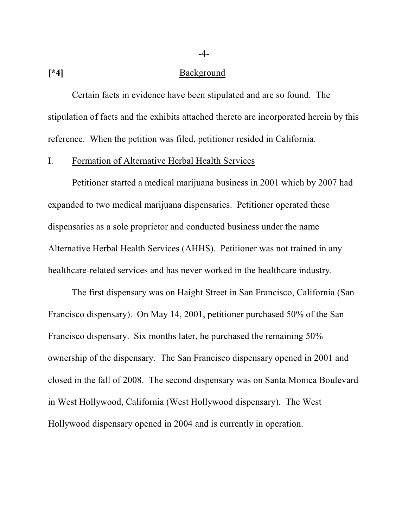## **[\*4]** Background

Certain facts in evidence have been stipulated and are so found. The stipulation of facts and the exhibits attached thereto are incorporated herein by this reference. When the petition was filed, petitioner resided in California.

## I. Formation of Alternative Herbal Health Services

Petitioner started a medical marijuana business in 2001 which by 2007 had expanded to two medical marijuana dispensaries. Petitioner operated these dispensaries as a sole proprietor and conducted business under the name Alternative Herbal Health Services (AHHS). Petitioner was not trained in any healthcare-related services and has never worked in the healthcare industry.

The first dispensary was on Haight Street in San Francisco, California (San Francisco dispensary). On May 14, 2001, petitioner purchased 50% of the San Francisco dispensary. Six months later, he purchased the remaining 50% ownership of the dispensary. The San Francisco dispensary opened in 2001 and closed in the fall of 2008. The second dispensary was on Santa Monica Boulevard in West Hollywood, California (West Hollywood dispensary). The West Hollywood dispensary opened in 2004 and is currently in operation.

-4-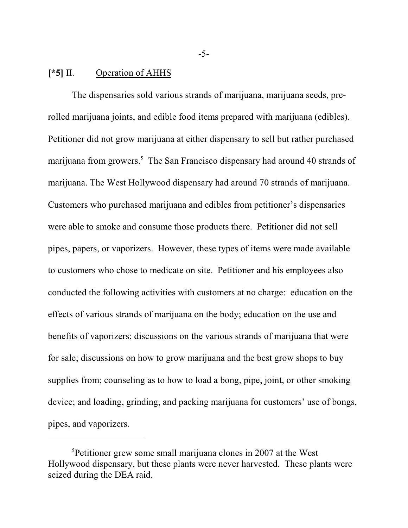## **[\*5]** II. Operation of AHHS

The dispensaries sold various strands of marijuana, marijuana seeds, prerolled marijuana joints, and edible food items prepared with marijuana (edibles). Petitioner did not grow marijuana at either dispensary to sell but rather purchased marijuana from growers.<sup>5</sup> The San Francisco dispensary had around 40 strands of marijuana. The West Hollywood dispensary had around 70 strands of marijuana. Customers who purchased marijuana and edibles from petitioner's dispensaries were able to smoke and consume those products there. Petitioner did not sell pipes, papers, or vaporizers. However, these types of items were made available to customers who chose to medicate on site. Petitioner and his employees also conducted the following activities with customers at no charge: education on the effects of various strands of marijuana on the body; education on the use and benefits of vaporizers; discussions on the various strands of marijuana that were for sale; discussions on how to grow marijuana and the best grow shops to buy supplies from; counseling as to how to load a bong, pipe, joint, or other smoking device; and loading, grinding, and packing marijuana for customers' use of bongs, pipes, and vaporizers.

 ${}^{5}$ Petitioner grew some small marijuana clones in 2007 at the West Hollywood dispensary, but these plants were never harvested. These plants were seized during the DEA raid.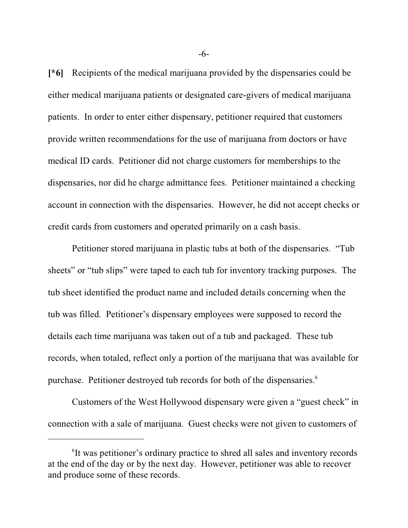**[\*6]** Recipients of the medical marijuana provided by the dispensaries could be either medical marijuana patients or designated care-givers of medical marijuana patients. In order to enter either dispensary, petitioner required that customers provide written recommendations for the use of marijuana from doctors or have medical ID cards. Petitioner did not charge customers for memberships to the dispensaries, nor did he charge admittance fees. Petitioner maintained a checking account in connection with the dispensaries. However, he did not accept checks or credit cards from customers and operated primarily on a cash basis.

Petitioner stored marijuana in plastic tubs at both of the dispensaries. "Tub sheets" or "tub slips" were taped to each tub for inventory tracking purposes. The tub sheet identified the product name and included details concerning when the tub was filled. Petitioner's dispensary employees were supposed to record the details each time marijuana was taken out of a tub and packaged. These tub records, when totaled, reflect only a portion of the marijuana that was available for purchase. Petitioner destroyed tub records for both of the dispensaries.<sup>6</sup>

Customers of the West Hollywood dispensary were given a "guest check" in connection with a sale of marijuana. Guest checks were not given to customers of

<sup>&</sup>lt;sup>6</sup>It was petitioner's ordinary practice to shred all sales and inventory records at the end of the day or by the next day. However, petitioner was able to recover and produce some of these records.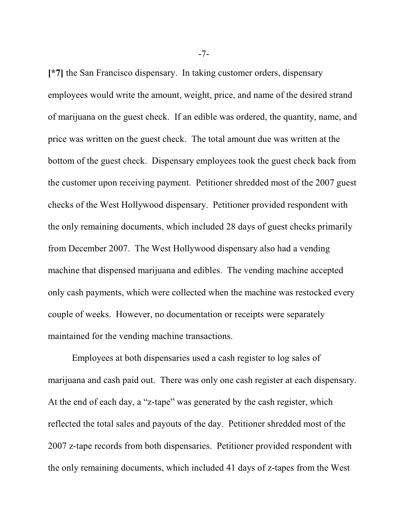**[\*7]** the San Francisco dispensary. In taking customer orders, dispensary employees would write the amount, weight, price, and name of the desired strand of marijuana on the guest check. If an edible was ordered, the quantity, name, and price was written on the guest check. The total amount due was written at the bottom of the guest check. Dispensary employees took the guest check back from the customer upon receiving payment. Petitioner shredded most of the 2007 guest checks of the West Hollywood dispensary. Petitioner provided respondent with the only remaining documents, which included 28 days of guest checks primarily from December 2007. The West Hollywood dispensary also had a vending machine that dispensed marijuana and edibles. The vending machine accepted only cash payments, which were collected when the machine was restocked every couple of weeks. However, no documentation or receipts were separately maintained for the vending machine transactions.

Employees at both dispensaries used a cash register to log sales of marijuana and cash paid out. There was only one cash register at each dispensary. At the end of each day, a "z-tape" was generated by the cash register, which reflected the total sales and payouts of the day. Petitioner shredded most of the 2007 z-tape records from both dispensaries. Petitioner provided respondent with the only remaining documents, which included 41 days of z-tapes from the West

-7-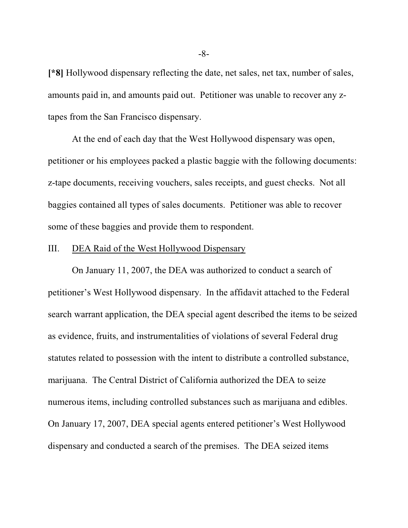**[\*8]** Hollywood dispensary reflecting the date, net sales, net tax, number of sales, amounts paid in, and amounts paid out. Petitioner was unable to recover any ztapes from the San Francisco dispensary.

At the end of each day that the West Hollywood dispensary was open, petitioner or his employees packed a plastic baggie with the following documents: z-tape documents, receiving vouchers, sales receipts, and guest checks. Not all baggies contained all types of sales documents. Petitioner was able to recover some of these baggies and provide them to respondent.

#### III. DEA Raid of the West Hollywood Dispensary

On January 11, 2007, the DEA was authorized to conduct a search of petitioner's West Hollywood dispensary. In the affidavit attached to the Federal search warrant application, the DEA special agent described the items to be seized as evidence, fruits, and instrumentalities of violations of several Federal drug statutes related to possession with the intent to distribute a controlled substance, marijuana. The Central District of California authorized the DEA to seize numerous items, including controlled substances such as marijuana and edibles. On January 17, 2007, DEA special agents entered petitioner's West Hollywood dispensary and conducted a search of the premises. The DEA seized items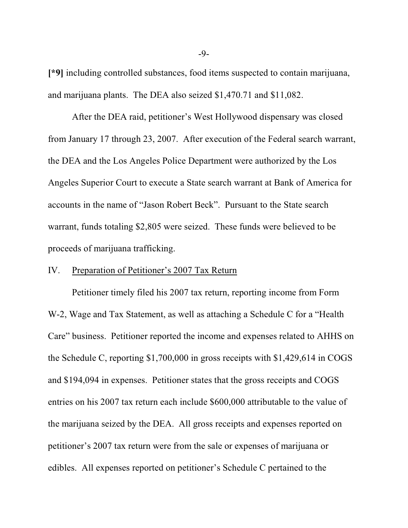**[\*9]** including controlled substances, food items suspected to contain marijuana, and marijuana plants. The DEA also seized \$1,470.71 and \$11,082.

After the DEA raid, petitioner's West Hollywood dispensary was closed from January 17 through 23, 2007. After execution of the Federal search warrant, the DEA and the Los Angeles Police Department were authorized by the Los Angeles Superior Court to execute a State search warrant at Bank of America for accounts in the name of "Jason Robert Beck". Pursuant to the State search warrant, funds totaling \$2,805 were seized. These funds were believed to be proceeds of marijuana trafficking.

#### IV. Preparation of Petitioner's 2007 Tax Return

Petitioner timely filed his 2007 tax return, reporting income from Form W-2, Wage and Tax Statement, as well as attaching a Schedule C for a "Health Care" business. Petitioner reported the income and expenses related to AHHS on the Schedule C, reporting \$1,700,000 in gross receipts with \$1,429,614 in COGS and \$194,094 in expenses. Petitioner states that the gross receipts and COGS entries on his 2007 tax return each include \$600,000 attributable to the value of the marijuana seized by the DEA. All gross receipts and expenses reported on petitioner's 2007 tax return were from the sale or expenses of marijuana or edibles. All expenses reported on petitioner's Schedule C pertained to the

-9-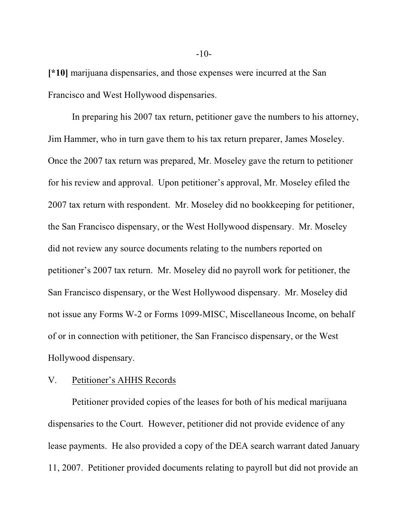**[\*10]** marijuana dispensaries, and those expenses were incurred at the San Francisco and West Hollywood dispensaries.

In preparing his 2007 tax return, petitioner gave the numbers to his attorney, Jim Hammer, who in turn gave them to his tax return preparer, James Moseley. Once the 2007 tax return was prepared, Mr. Moseley gave the return to petitioner for his review and approval. Upon petitioner's approval, Mr. Moseley efiled the 2007 tax return with respondent. Mr. Moseley did no bookkeeping for petitioner, the San Francisco dispensary, or the West Hollywood dispensary. Mr. Moseley did not review any source documents relating to the numbers reported on petitioner's 2007 tax return. Mr. Moseley did no payroll work for petitioner, the San Francisco dispensary, or the West Hollywood dispensary. Mr. Moseley did not issue any Forms W-2 or Forms 1099-MISC, Miscellaneous Income, on behalf of or in connection with petitioner, the San Francisco dispensary, or the West Hollywood dispensary.

## V. Petitioner's AHHS Records

Petitioner provided copies of the leases for both of his medical marijuana dispensaries to the Court. However, petitioner did not provide evidence of any lease payments. He also provided a copy of the DEA search warrant dated January 11, 2007. Petitioner provided documents relating to payroll but did not provide an

-10-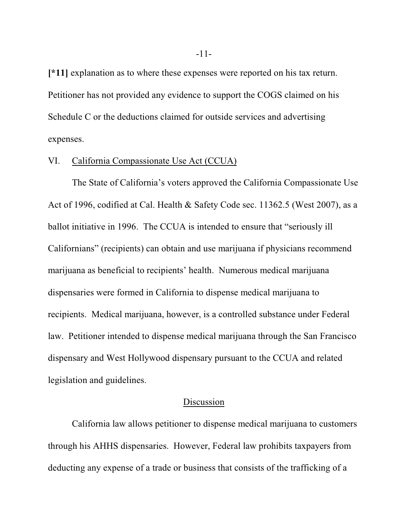**[\*11]** explanation as to where these expenses were reported on his tax return. Petitioner has not provided any evidence to support the COGS claimed on his Schedule C or the deductions claimed for outside services and advertising expenses.

## VI. California Compassionate Use Act (CCUA)

The State of California's voters approved the California Compassionate Use Act of 1996, codified at Cal. Health & Safety Code sec. 11362.5 (West 2007), as a ballot initiative in 1996. The CCUA is intended to ensure that "seriously ill Californians" (recipients) can obtain and use marijuana if physicians recommend marijuana as beneficial to recipients' health. Numerous medical marijuana dispensaries were formed in California to dispense medical marijuana to recipients. Medical marijuana, however, is a controlled substance under Federal law. Petitioner intended to dispense medical marijuana through the San Francisco dispensary and West Hollywood dispensary pursuant to the CCUA and related legislation and guidelines.

#### Discussion

California law allows petitioner to dispense medical marijuana to customers through his AHHS dispensaries. However, Federal law prohibits taxpayers from deducting any expense of a trade or business that consists of the trafficking of a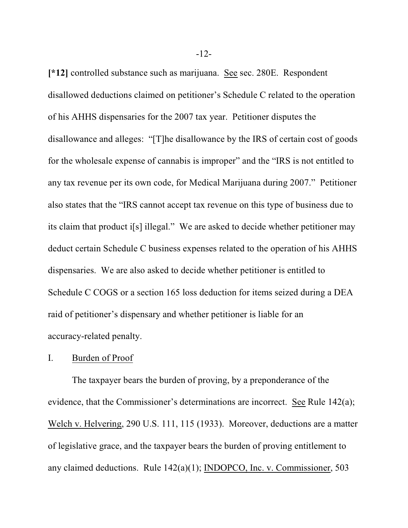**[\*12]** controlled substance such as marijuana. See sec. 280E. Respondent disallowed deductions claimed on petitioner's Schedule C related to the operation of his AHHS dispensaries for the 2007 tax year. Petitioner disputes the disallowance and alleges: "[T]he disallowance by the IRS of certain cost of goods for the wholesale expense of cannabis is improper" and the "IRS is not entitled to any tax revenue per its own code, for Medical Marijuana during 2007." Petitioner also states that the "IRS cannot accept tax revenue on this type of business due to its claim that product i[s] illegal." We are asked to decide whether petitioner may deduct certain Schedule C business expenses related to the operation of his AHHS dispensaries. We are also asked to decide whether petitioner is entitled to Schedule C COGS or a section 165 loss deduction for items seized during a DEA raid of petitioner's dispensary and whether petitioner is liable for an accuracy-related penalty.

#### I. Burden of Proof

The taxpayer bears the burden of proving, by a preponderance of the evidence, that the Commissioner's determinations are incorrect. See Rule 142(a); Welch v. Helvering, 290 U.S. 111, 115 (1933). Moreover, deductions are a matter of legislative grace, and the taxpayer bears the burden of proving entitlement to any claimed deductions. Rule 142(a)(1); INDOPCO, Inc. v. Commissioner, 503

-12-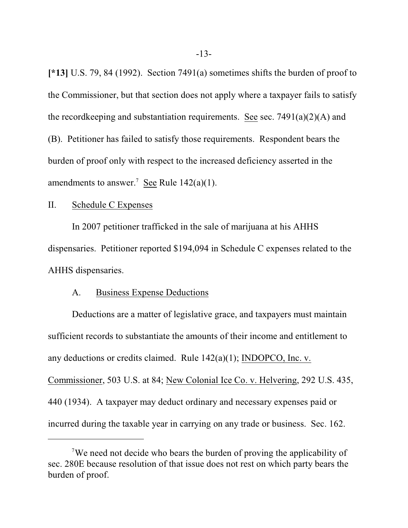**[\*13]** U.S. 79, 84 (1992). Section 7491(a) sometimes shifts the burden of proof to the Commissioner, but that section does not apply where a taxpayer fails to satisfy the record keeping and substantiation requirements. See sec.  $7491(a)(2)(A)$  and (B). Petitioner has failed to satisfy those requirements. Respondent bears the burden of proof only with respect to the increased deficiency asserted in the amendments to answer.<sup>7</sup> See Rule  $142(a)(1)$ .

## II. Schedule C Expenses

In 2007 petitioner trafficked in the sale of marijuana at his AHHS dispensaries. Petitioner reported \$194,094 in Schedule C expenses related to the AHHS dispensaries.

### A. Business Expense Deductions

Deductions are a matter of legislative grace, and taxpayers must maintain sufficient records to substantiate the amounts of their income and entitlement to any deductions or credits claimed. Rule 142(a)(1); INDOPCO, Inc. v. Commissioner, 503 U.S. at 84; New Colonial Ice Co. v. Helvering, 292 U.S. 435, 440 (1934). A taxpayer may deduct ordinary and necessary expenses paid or incurred during the taxable year in carrying on any trade or business. Sec. 162.

We need not decide who bears the burden of proving the applicability of sec. 280E because resolution of that issue does not rest on which party bears the burden of proof.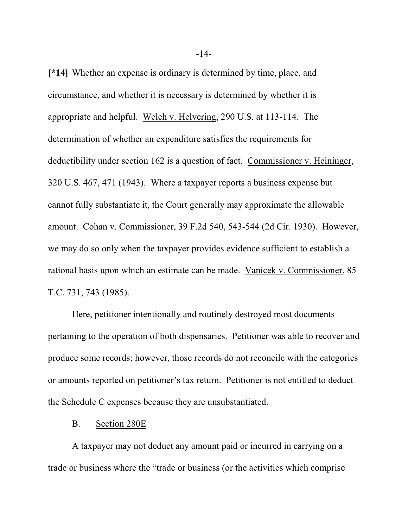**[\*14]** Whether an expense is ordinary is determined by time, place, and circumstance, and whether it is necessary is determined by whether it is appropriate and helpful. Welch v. Helvering, 290 U.S. at 113-114. The determination of whether an expenditure satisfies the requirements for deductibility under section 162 is a question of fact. Commissioner v. Heininger, 320 U.S. 467, 471 (1943). Where a taxpayer reports a business expense but cannot fully substantiate it, the Court generally may approximate the allowable amount. Cohan v. Commissioner, 39 F.2d 540, 543-544 (2d Cir. 1930). However, we may do so only when the taxpayer provides evidence sufficient to establish a rational basis upon which an estimate can be made. Vanicek v. Commissioner, 85 T.C. 731, 743 (1985).

Here, petitioner intentionally and routinely destroyed most documents pertaining to the operation of both dispensaries. Petitioner was able to recover and produce some records; however, those records do not reconcile with the categories or amounts reported on petitioner's tax return. Petitioner is not entitled to deduct the Schedule C expenses because they are unsubstantiated.

#### B. Section 280E

A taxpayer may not deduct any amount paid or incurred in carrying on a trade or business where the "trade or business (or the activities which comprise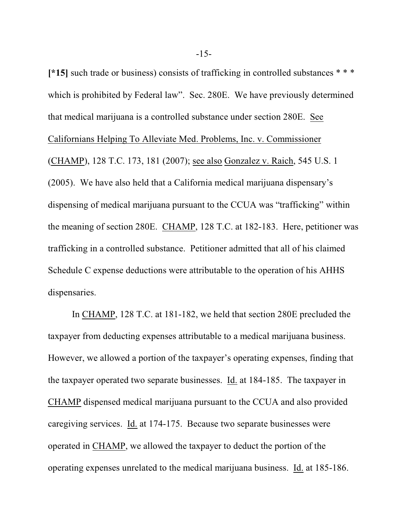**[\*15]** such trade or business) consists of trafficking in controlled substances \* \* \* which is prohibited by Federal law". Sec. 280E. We have previously determined that medical marijuana is a controlled substance under section 280E. See Californians Helping To Alleviate Med. Problems, Inc. v. Commissioner (CHAMP), 128 T.C. 173, 181 (2007); see also Gonzalez v. Raich, 545 U.S. 1 (2005). We have also held that a California medical marijuana dispensary's dispensing of medical marijuana pursuant to the CCUA was "trafficking" within the meaning of section 280E. CHAMP, 128 T.C. at 182-183. Here, petitioner was trafficking in a controlled substance. Petitioner admitted that all of his claimed Schedule C expense deductions were attributable to the operation of his AHHS dispensaries.

In CHAMP, 128 T.C. at 181-182, we held that section 280E precluded the taxpayer from deducting expenses attributable to a medical marijuana business. However, we allowed a portion of the taxpayer's operating expenses, finding that the taxpayer operated two separate businesses. Id. at 184-185. The taxpayer in CHAMP dispensed medical marijuana pursuant to the CCUA and also provided caregiving services. Id. at 174-175. Because two separate businesses were operated in CHAMP, we allowed the taxpayer to deduct the portion of the operating expenses unrelated to the medical marijuana business. Id. at 185-186.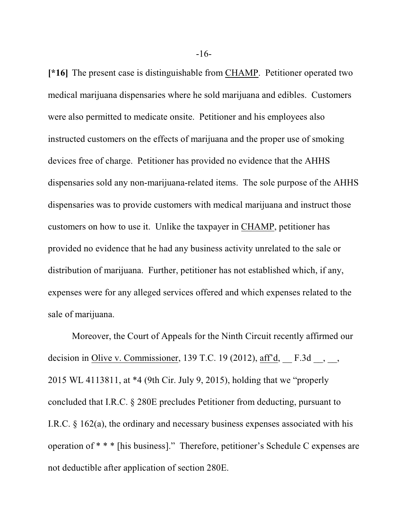**[\*16]** The present case is distinguishable from CHAMP. Petitioner operated two medical marijuana dispensaries where he sold marijuana and edibles. Customers were also permitted to medicate onsite. Petitioner and his employees also instructed customers on the effects of marijuana and the proper use of smoking devices free of charge. Petitioner has provided no evidence that the AHHS dispensaries sold any non-marijuana-related items. The sole purpose of the AHHS dispensaries was to provide customers with medical marijuana and instruct those customers on how to use it. Unlike the taxpayer in CHAMP, petitioner has provided no evidence that he had any business activity unrelated to the sale or distribution of marijuana. Further, petitioner has not established which, if any, expenses were for any alleged services offered and which expenses related to the sale of marijuana.

Moreover, the Court of Appeals for the Ninth Circuit recently affirmed our decision in Olive v. Commissioner, 139 T.C. 19 (2012),  $\text{aff}^3$ d, F.3d , , 2015 WL 4113811, at \*4 (9th Cir. July 9, 2015), holding that we "properly concluded that I.R.C. § 280E precludes Petitioner from deducting, pursuant to I.R.C. § 162(a), the ordinary and necessary business expenses associated with his operation of \* \* \* [his business]." Therefore, petitioner's Schedule C expenses are not deductible after application of section 280E.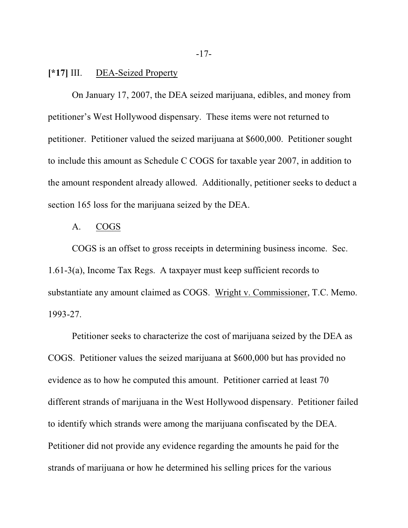#### **[\*17]** III. DEA-Seized Property

On January 17, 2007, the DEA seized marijuana, edibles, and money from petitioner's West Hollywood dispensary. These items were not returned to petitioner. Petitioner valued the seized marijuana at \$600,000. Petitioner sought to include this amount as Schedule C COGS for taxable year 2007, in addition to the amount respondent already allowed. Additionally, petitioner seeks to deduct a section 165 loss for the marijuana seized by the DEA.

## A. COGS

COGS is an offset to gross receipts in determining business income. Sec. 1.61-3(a), Income Tax Regs. A taxpayer must keep sufficient records to substantiate any amount claimed as COGS. Wright v. Commissioner, T.C. Memo. 1993-27.

Petitioner seeks to characterize the cost of marijuana seized by the DEA as COGS. Petitioner values the seized marijuana at \$600,000 but has provided no evidence as to how he computed this amount. Petitioner carried at least 70 different strands of marijuana in the West Hollywood dispensary. Petitioner failed to identify which strands were among the marijuana confiscated by the DEA. Petitioner did not provide any evidence regarding the amounts he paid for the strands of marijuana or how he determined his selling prices for the various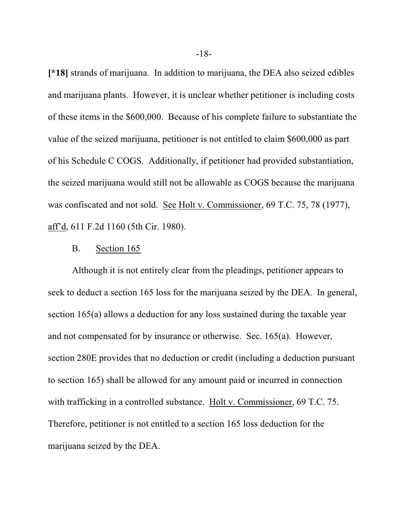**[\*18]** strands of marijuana. In addition to marijuana, the DEA also seized edibles and marijuana plants. However, it is unclear whether petitioner is including costs of these items in the \$600,000. Because of his complete failure to substantiate the value of the seized marijuana, petitioner is not entitled to claim \$600,000 as part of his Schedule C COGS. Additionally, if petitioner had provided substantiation, the seized marijuana would still not be allowable as COGS because the marijuana was confiscated and not sold. See Holt v. Commissioner, 69 T.C. 75, 78 (1977), aff'd, 611 F.2d 1160 (5th Cir. 1980).

#### B. Section 165

Although it is not entirely clear from the pleadings, petitioner appears to seek to deduct a section 165 loss for the marijuana seized by the DEA. In general, section 165(a) allows a deduction for any loss sustained during the taxable year and not compensated for by insurance or otherwise. Sec. 165(a). However, section 280E provides that no deduction or credit (including a deduction pursuant to section 165) shall be allowed for any amount paid or incurred in connection with trafficking in a controlled substance. Holt v. Commissioner, 69 T.C. 75. Therefore, petitioner is not entitled to a section 165 loss deduction for the marijuana seized by the DEA.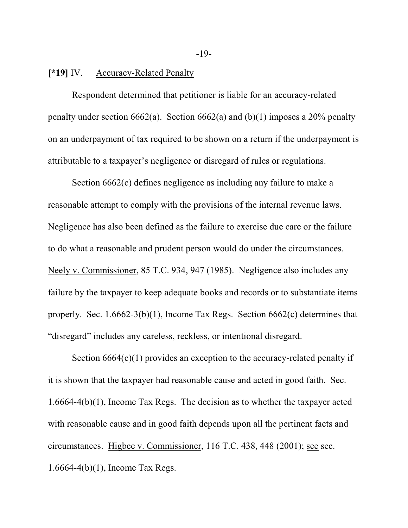#### **[\*19]** IV. Accuracy-Related Penalty

Respondent determined that petitioner is liable for an accuracy-related penalty under section 6662(a). Section 6662(a) and (b)(1) imposes a 20% penalty on an underpayment of tax required to be shown on a return if the underpayment is attributable to a taxpayer's negligence or disregard of rules or regulations.

Section 6662(c) defines negligence as including any failure to make a reasonable attempt to comply with the provisions of the internal revenue laws. Negligence has also been defined as the failure to exercise due care or the failure to do what a reasonable and prudent person would do under the circumstances. Neely v. Commissioner, 85 T.C. 934, 947 (1985). Negligence also includes any failure by the taxpayer to keep adequate books and records or to substantiate items properly. Sec. 1.6662-3(b)(1), Income Tax Regs. Section 6662(c) determines that "disregard" includes any careless, reckless, or intentional disregard.

Section  $6664(c)(1)$  provides an exception to the accuracy-related penalty if it is shown that the taxpayer had reasonable cause and acted in good faith. Sec. 1.6664-4(b)(1), Income Tax Regs. The decision as to whether the taxpayer acted with reasonable cause and in good faith depends upon all the pertinent facts and circumstances. Higbee v. Commissioner, 116 T.C. 438, 448 (2001); see sec. 1.6664-4(b)(1), Income Tax Regs.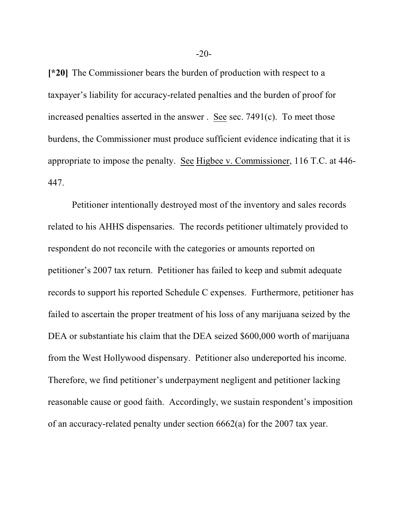**[\*20]** The Commissioner bears the burden of production with respect to a taxpayer's liability for accuracy-related penalties and the burden of proof for increased penalties asserted in the answer . See sec. 7491(c). To meet those burdens, the Commissioner must produce sufficient evidence indicating that it is appropriate to impose the penalty. See Higbee v. Commissioner, 116 T.C. at 446- 447.

Petitioner intentionally destroyed most of the inventory and sales records related to his AHHS dispensaries. The records petitioner ultimately provided to respondent do not reconcile with the categories or amounts reported on petitioner's 2007 tax return. Petitioner has failed to keep and submit adequate records to support his reported Schedule C expenses. Furthermore, petitioner has failed to ascertain the proper treatment of his loss of any marijuana seized by the DEA or substantiate his claim that the DEA seized \$600,000 worth of marijuana from the West Hollywood dispensary. Petitioner also undereported his income. Therefore, we find petitioner's underpayment negligent and petitioner lacking reasonable cause or good faith. Accordingly, we sustain respondent's imposition of an accuracy-related penalty under section 6662(a) for the 2007 tax year.